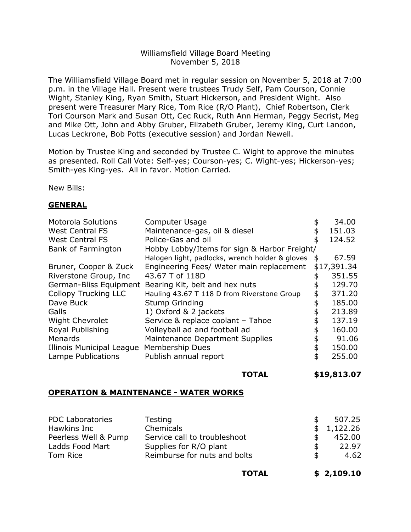#### Williamsfield Village Board Meeting November 5, 2018

The Williamsfield Village Board met in regular session on November 5, 2018 at 7:00 p.m. in the Village Hall. Present were trustees Trudy Self, Pam Courson, Connie Wight, Stanley King, Ryan Smith, Stuart Hickerson, and President Wight. Also present were Treasurer Mary Rice, Tom Rice (R/O Plant), Chief Robertson, Clerk Tori Courson Mark and Susan Ott, Cec Ruck, Ruth Ann Herman, Peggy Secrist, Meg and Mike Ott, John and Abby Gruber, Elizabeth Gruber, Jeremy King, Curt Landon, Lucas Leckrone, Bob Potts (executive session) and Jordan Newell.

Motion by Trustee King and seconded by Trustee C. Wight to approve the minutes as presented. Roll Call Vote: Self-yes; Courson-yes; C. Wight-yes; Hickerson-yes; Smith-yes King-yes. All in favor. Motion Carried.

New Bills:

## **GENERAL**

| <b>Motorola Solutions</b>   | <b>Computer Usage</b>                                 | \$<br>34.00  |
|-----------------------------|-------------------------------------------------------|--------------|
| <b>West Central FS</b>      | Maintenance-gas, oil & diesel                         | \$<br>151.03 |
| <b>West Central FS</b>      | Police-Gas and oil                                    | \$<br>124.52 |
| <b>Bank of Farmington</b>   | Hobby Lobby/Items for sign & Harbor Freight/          |              |
|                             | Halogen light, padlocks, wrench holder & gloves       | \$<br>67.59  |
| Bruner, Cooper & Zuck       | Engineering Fees/ Water main replacement              | \$17,391.34  |
| Riverstone Group, Inc.      | 43.67 T of 118D                                       | 351.55       |
|                             | German-Bliss Equipment Bearing Kit, belt and hex nuts | \$<br>129.70 |
| <b>Collopy Trucking LLC</b> | Hauling 43.67 T 118 D from Riverstone Group           | \$<br>371.20 |
| Dave Buck                   | <b>Stump Grinding</b>                                 | \$<br>185.00 |
| Galls                       | 1) Oxford & 2 jackets                                 | \$<br>213.89 |
| <b>Wight Chevrolet</b>      | Service & replace coolant - Tahoe                     | \$<br>137.19 |
| Royal Publishing            | Volleyball ad and football ad                         | \$<br>160.00 |
| Menards                     | Maintenance Department Supplies                       | \$<br>91.06  |
| Illinois Municipal League   | <b>Membership Dues</b>                                | \$<br>150.00 |
| Lampe Publications          | Publish annual report                                 | \$<br>255.00 |
|                             |                                                       |              |

**TOTAL \$19,813.07** 

#### **OPERATION & MAINTENANCE - WATER WORKS**

| <b>PDC Laboratories</b> | <b>Testing</b>               | \$.           | 507.25   |
|-------------------------|------------------------------|---------------|----------|
| Hawkins Inc             | Chemicals                    | $\mathsf{\$}$ | 1,122.26 |
| Peerless Well & Pump    | Service call to troubleshoot |               | 452.00   |
| Ladds Food Mart         | Supplies for R/O plant       | \$.           | 22.97    |
| Tom Rice                | Reimburse for nuts and bolts | \$.           | 4.62     |
|                         |                              |               |          |

**TOTAL \$ 2,109.10**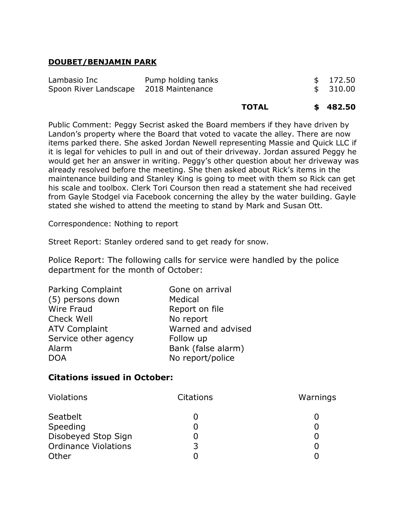## **DOUBET/BENJAMIN PARK**

| Lambasio Inc                           | Pump holding tanks | \$172.50 |
|----------------------------------------|--------------------|----------|
| Spoon River Landscape 2018 Maintenance |                    | \$310.00 |
|                                        |                    |          |

| <b>TOTAL</b> | \$482.50 |
|--------------|----------|
|--------------|----------|

Public Comment: Peggy Secrist asked the Board members if they have driven by Landon's property where the Board that voted to vacate the alley. There are now items parked there. She asked Jordan Newell representing Massie and Quick LLC if it is legal for vehicles to pull in and out of their driveway. Jordan assured Peggy he would get her an answer in writing. Peggy's other question about her driveway was already resolved before the meeting. She then asked about Rick's items in the maintenance building and Stanley King is going to meet with them so Rick can get his scale and toolbox. Clerk Tori Courson then read a statement she had received from Gayle Stodgel via Facebook concerning the alley by the water building. Gayle stated she wished to attend the meeting to stand by Mark and Susan Ott.

Correspondence: Nothing to report

Street Report: Stanley ordered sand to get ready for snow.

Police Report: The following calls for service were handled by the police department for the month of October:

| Gone on arrival    |
|--------------------|
| Medical            |
| Report on file     |
| No report          |
| Warned and advised |
| Follow up          |
| Bank (false alarm) |
| No report/police   |
|                    |

# **Citations issued in October:**

| Violations                  | <b>Citations</b> | Warnings |
|-----------------------------|------------------|----------|
| Seatbelt                    |                  |          |
| Speeding                    |                  |          |
| Disobeyed Stop Sign         |                  |          |
| <b>Ordinance Violations</b> | 3                |          |
| Other                       |                  |          |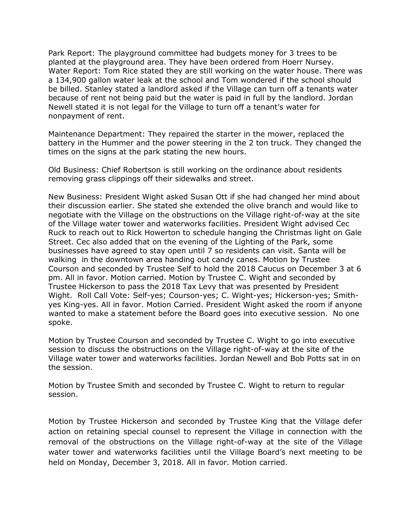Park Report: The playground committee had budgets money for 3 trees to be planted at the playground area. They have been ordered from Hoerr Nursey. Water Report: Tom Rice stated they are still working on the water house. There was a 134,900 gallon water leak at the school and Tom wondered if the school should be billed. Stanley stated a landlord asked if the Village can turn off a tenants water because of rent not being paid but the water is paid in full by the landlord. Jordan Newell stated it is not legal for the Village to turn off a tenant's water for nonpayment of rent.

Maintenance Department: They repaired the starter in the mower, replaced the battery in the Hummer and the power steering in the 2 ton truck. They changed the times on the signs at the park stating the new hours.

Old Business: Chief Robertson is still working on the ordinance about residents removing grass clippings off their sidewalks and street.

New Business: President Wight asked Susan Ott if she had changed her mind about their discussion earlier. She stated she extended the olive branch and would like to negotiate with the Village on the obstructions on the Village right-of-way at the site of the Village water tower and waterworks facilities. President Wight advised Cec Ruck to reach out to Rick Howerton to schedule hanging the Christmas light on Gale Street. Cec also added that on the evening of the Lighting of the Park, some businesses have agreed to stay open until 7 so residents can visit. Santa will be walking in the downtown area handing out candy canes. Motion by Trustee Courson and seconded by Trustee Self to hold the 2018 Caucus on December 3 at 6 pm. All in favor. Motion carried. Motion by Trustee C. Wight and seconded by Trustee Hickerson to pass the 2018 Tax Levy that was presented by President Wight. Roll Call Vote: Self-yes; Courson-yes; C. Wight-yes; Hickerson-yes; Smithyes King-yes. All in favor. Motion Carried. President Wight asked the room if anyone wanted to make a statement before the Board goes into executive session. No one spoke.

Motion by Trustee Courson and seconded by Trustee C. Wight to go into executive session to discuss the obstructions on the Village right-of-way at the site of the Village water tower and waterworks facilities. Jordan Newell and Bob Potts sat in on the session.

Motion by Trustee Smith and seconded by Trustee C. Wight to return to regular session.

Motion by Trustee Hickerson and seconded by Trustee King that the Village defer action on retaining special counsel to represent the Village in connection with the removal of the obstructions on the Village right-of-way at the site of the Village water tower and waterworks facilities until the Village Board's next meeting to be held on Monday, December 3, 2018. All in favor. Motion carried.